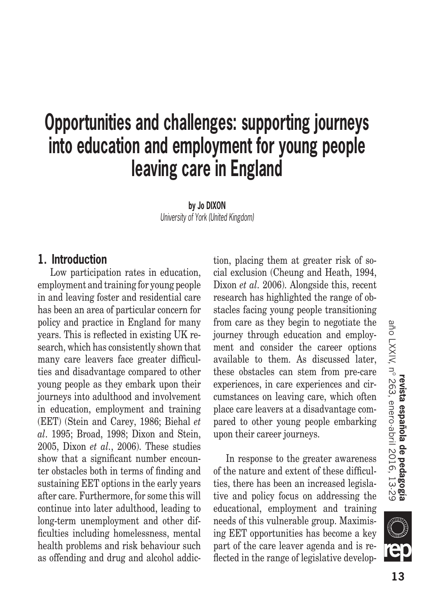# **Opportunities and challenges: supporting journeys into education and employment for young people leaving care in England**

**by Jo DIXON** *University of York (United Kingdom)*

#### **1. Introduction**

Low participation rates in education, employment and training for young people in and leaving foster and residential care has been an area of particular concern for policy and practice in England for many years. This is reflected in existing UK research, which has consistently shown that many care leavers face greater difficulties and disadvantage compared to other young people as they embark upon their journeys into adulthood and involvement in education, employment and training (EET) (Stein and Carey, 1986; Biehal *et al*. 1995; Broad, 1998; Dixon and Stein, 2005, Dixon *et al.*, 2006). These studies show that a significant number encounter obstacles both in terms of finding and sustaining EET options in the early years after care. Furthermore, for some this will continue into later adulthood, leading to long-term unemployment and other difficulties including homelessness, mental health problems and risk behaviour such as offending and drug and alcohol addiction, placing them at greater risk of social exclusion (Cheung and Heath, 1994, Dixon *et al.* 2006). Alongside this, recent research has highlighted the range of obstacles facing young people transitioning from care as they begin to negotiate the journey through education and employment and consider the career options available to them. As discussed later, these obstacles can stem from pre-care experiences, in care experiences and circumstances on leaving care, which often place care leavers at a disadvantage compared to other young people embarking upon their career journeys.

In response to the greater awareness of the nature and extent of these difficulties, there has been an increased legislative and policy focus on addressing the educational, employment and training needs of this vulnerable group. Maximising EET opportunities has become a key part of the care leaver agenda and is reflected in the range of legislative develop-

el

**FB**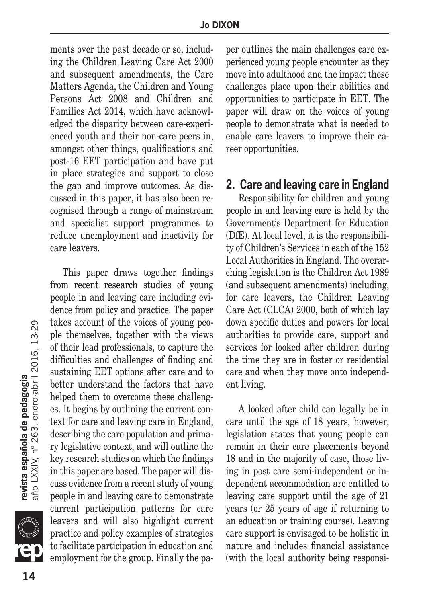ments over the past decade or so, including the Children Leaving Care Act 2000 and subsequent amendments, the Care Matters Agenda, the Children and Young Persons Act 2008 and Children and Families Act 2014, which have acknowledged the disparity between care-experienced youth and their non-care peers in, amongst other things, qualifications and post-16 EET participation and have put in place strategies and support to close the gap and improve outcomes. As discussed in this paper, it has also been recognised through a range of mainstream and specialist support programmes to reduce unemployment and inactivity for care leavers.

This paper draws together findings from recent research studies of young people in and leaving care including evidence from policy and practice. The paper takes account of the voices of young people themselves, together with the views of their lead professionals, to capture the difficulties and challenges of finding and sustaining EET options after care and to better understand the factors that have helped them to overcome these challenges. It begins by outlining the current context for care and leaving care in England, describing the care population and primary legislative context, and will outline the key research studies on which the findings in this paper are based. The paper will discuss evidence from a recent study of young people in and leaving care to demonstrate current participation patterns for care leavers and will also highlight current practice and policy examples of strategies to facilitate participation in education and employment for the group. Finally the paper outlines the main challenges care experienced young people encounter as they move into adulthood and the impact these challenges place upon their abilities and opportunities to participate in EET. The paper will draw on the voices of young people to demonstrate what is needed to enable care leavers to improve their career opportunities.

### **2. Care and leaving care in England**

Responsibility for children and young people in and leaving care is held by the Government's Department for Education (DfE). At local level, it is the responsibility of Children's Services in each of the 152 Local Authorities in England. The overarching legislation is the Children Act 1989 (and subsequent amendments) including, for care leavers, the Children Leaving Care Act (CLCA) 2000, both of which lay down specific duties and powers for local authorities to provide care, support and services for looked after children during the time they are in foster or residential care and when they move onto independent living.

A looked after child can legally be in care until the age of 18 years, however, legislation states that young people can remain in their care placements beyond 18 and in the majority of case, those living in post care semi-independent or independent accommodation are entitled to leaving care support until the age of 21 years (or 25 years of age if returning to an education or training course). Leaving care support is envisaged to be holistic in nature and includes financial assistance (with the local authority being responsi-

**SILLE**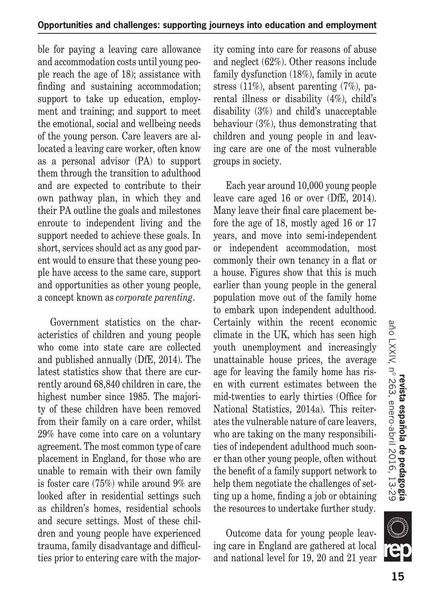ble for paying a leaving care allowance and accommodation costs until young people reach the age of 18); assistance with finding and sustaining accommodation; support to take up education, employment and training; and support to meet the emotional, social and wellbeing needs of the young person. Care leavers are allocated a leaving care worker, often know as a personal advisor (PA) to support them through the transition to adulthood and are expected to contribute to their own pathway plan, in which they and their PA outline the goals and milestones enroute to independent living and the support needed to achieve these goals. In short, services should act as any good parent would to ensure that these young people have access to the same care, support and opportunities as other young people, a concept known as *corporate parenting*.

Government statistics on the characteristics of children and young people who come into state care are collected and published annually (DfE, 2014). The latest statistics show that there are currently around 68,840 children in care, the highest number since 1985. The majority of these children have been removed from their family on a care order, whilst 29% have come into care on a voluntary agreement. The most common type of care placement in England, for those who are unable to remain with their own family is foster care (75%) while around 9% are looked after in residential settings such as children's homes, residential schools and secure settings. Most of these children and young people have experienced trauma, family disadvantage and difficulties prior to entering care with the majority coming into care for reasons of abuse and neglect (62%). Other reasons include family dysfunction (18%), family in acute stress (11%), absent parenting (7%), parental illness or disability (4%), child's disability (3%) and child's unacceptable behaviour (3%), thus demonstrating that children and young people in and leaving care are one of the most vulnerable groups in society.

Each year around 10,000 young people leave care aged 16 or over (DfE, 2014). Many leave their final care placement before the age of 18, mostly aged 16 or 17 years, and move into semi-independent or independent accommodation, most commonly their own tenancy in a flat or a house. Figures show that this is much earlier than young people in the general population move out of the family home to embark upon independent adulthood. Certainly within the recent economic climate in the UK, which has seen high youth unemployment and increasingly unattainable house prices, the average age for leaving the family home has risen with current estimates between the mid-twenties to early thirties (Office for National Statistics, 2014a). This reiterates the vulnerable nature of care leavers, who are taking on the many responsibilities of independent adulthood much sooner than other young people, often without the benefit of a family support network to help them negotiate the challenges of setting up a home, finding a job or obtaining the resources to undertake further study.

Outcome data for young people leaving care in England are gathered at local and national level for 19, 20 and 21 year

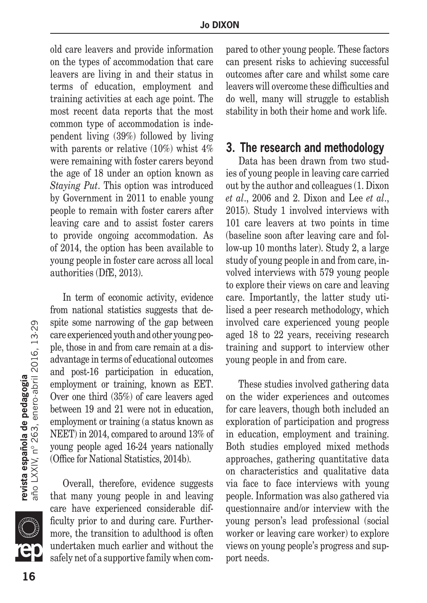old care leavers and provide information on the types of accommodation that care leavers are living in and their status in terms of education, employment and training activities at each age point. The most recent data reports that the most common type of accommodation is independent living (39%) followed by living with parents or relative (10%) whist 4% were remaining with foster carers beyond the age of 18 under an option known as *Staying Put*. This option was introduced by Government in 2011 to enable young people to remain with foster carers after leaving care and to assist foster carers to provide ongoing accommodation. As of 2014, the option has been available to young people in foster care across all local authorities (DfE, 2013).

In term of economic activity, evidence from national statistics suggests that despite some narrowing of the gap between care experienced youth and other young people, those in and from care remain at a disadvantage in terms of educational outcomes and post-16 participation in education, employment or training, known as EET. Over one third (35%) of care leavers aged between 19 and 21 were not in education, employment or training (a status known as NEET) in 2014, compared to around 13% of young people aged 16-24 years nationally (Office for National Statistics, 2014b).

Overall, therefore, evidence suggests that many young people in and leaving care have experienced considerable difficulty prior to and during care. Furthermore, the transition to adulthood is often undertaken much earlier and without the safely net of a supportive family when compared to other young people. These factors can present risks to achieving successful outcomes after care and whilst some care leavers will overcome these difficulties and do well, many will struggle to establish stability in both their home and work life.

## **3. The research and methodology**

Data has been drawn from two studies of young people in leaving care carried out by the author and colleagues (1. Dixon *et al*., 2006 and 2. Dixon and Lee *et al*., 2015). Study 1 involved interviews with 101 care leavers at two points in time (baseline soon after leaving care and follow-up 10 months later). Study 2, a large study of young people in and from care, involved interviews with 579 young people to explore their views on care and leaving care. Importantly, the latter study utilised a peer research methodology, which involved care experienced young people aged 18 to 22 years, receiving research training and support to interview other young people in and from care.

These studies involved gathering data on the wider experiences and outcomes for care leavers, though both included an exploration of participation and progress in education, employment and training. Both studies employed mixed methods approaches, gathering quantitative data on characteristics and qualitative data via face to face interviews with young people. Information was also gathered via questionnaire and/or interview with the young person's lead professional (social worker or leaving care worker) to explore views on young people's progress and support needs.

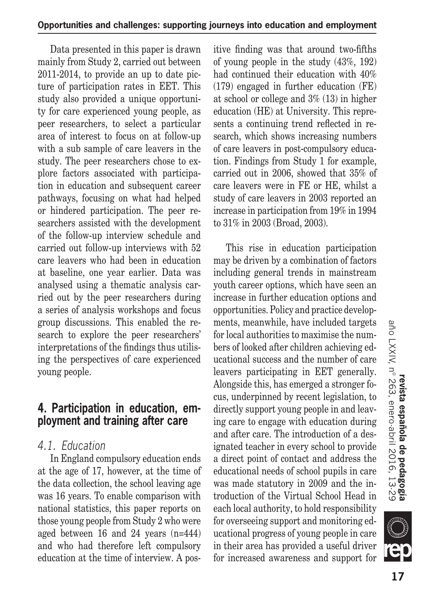Data presented in this paper is drawn mainly from Study 2, carried out between 2011-2014, to provide an up to date picture of participation rates in EET. This study also provided a unique opportunity for care experienced young people, as peer researchers, to select a particular area of interest to focus on at follow-up with a sub sample of care leavers in the study. The peer researchers chose to explore factors associated with participation in education and subsequent career pathways, focusing on what had helped or hindered participation. The peer researchers assisted with the development of the follow-up interview schedule and carried out follow-up interviews with 52 care leavers who had been in education at baseline, one year earlier. Data was analysed using a thematic analysis carried out by the peer researchers during a series of analysis workshops and focus group discussions. This enabled the research to explore the peer researchers' interpretations of the findings thus utilising the perspectives of care experienced young people.

## **4. Participation in education, employment and training after care**

# *4.1. Education*

In England compulsory education ends at the age of 17, however, at the time of the data collection, the school leaving age was 16 years. To enable comparison with national statistics, this paper reports on those young people from Study 2 who were aged between 16 and 24 years (n=444) and who had therefore left compulsory education at the time of interview. A positive finding was that around two-fifths of young people in the study (43%, 192) had continued their education with 40% (179) engaged in further education (FE) at school or college and 3% (13) in higher education (HE) at University. This represents a continuing trend reflected in research, which shows increasing numbers of care leavers in post-compulsory education. Findings from Study 1 for example, carried out in 2006, showed that 35% of care leavers were in FE or HE, whilst a study of care leavers in 2003 reported an increase in participation from 19% in 1994 to 31% in 2003 (Broad, 2003).

This rise in education participation may be driven by a combination of factors including general trends in mainstream youth career options, which have seen an increase in further education options and opportunities. Policy and practice developments, meanwhile, have included targets for local authorities to maximise the numbers of looked after children achieving educational success and the number of care leavers participating in EET generally. Alongside this, has emerged a stronger focus, underpinned by recent legislation, to directly support young people in and leaving care to engage with education during and after care. The introduction of a designated teacher in every school to provide a direct point of contact and address the educational needs of school pupils in care was made statutory in 2009 and the introduction of the Virtual School Head in each local authority, to hold responsibility for overseeing support and monitoring educational progress of young people in care in their area has provided a useful driver for increased awareness and support for

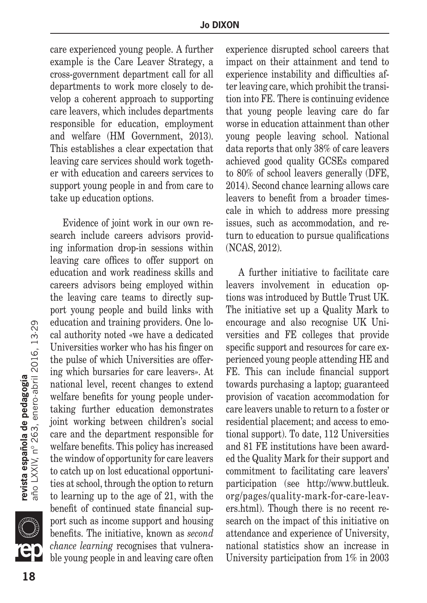care experienced young people. A further example is the Care Leaver Strategy, a cross-government department call for all departments to work more closely to develop a coherent approach to supporting care leavers, which includes departments responsible for education, employment and welfare (HM Government, 2013). This establishes a clear expectation that leaving care services should work together with education and careers services to support young people in and from care to take up education options.

Evidence of joint work in our own research include careers advisors providing information drop-in sessions within leaving care offices to offer support on education and work readiness skills and careers advisors being employed within the leaving care teams to directly support young people and build links with education and training providers. One local authority noted «we have a dedicated Universities worker who has his finger on the pulse of which Universities are offering which bursaries for care leavers». At national level, recent changes to extend welfare benefits for young people undertaking further education demonstrates joint working between children's social care and the department responsible for welfare benefits. This policy has increased the window of opportunity for care leavers to catch up on lost educational opportunities at school, through the option to return to learning up to the age of 21, with the benefit of continued state financial support such as income support and housing benefits. The initiative, known as *second chance learning* recognises that vulnerable young people in and leaving care often experience disrupted school careers that impact on their attainment and tend to experience instability and difficulties after leaving care, which prohibit the transition into FE. There is continuing evidence that young people leaving care do far worse in education attainment than other young people leaving school. National data reports that only 38% of care leavers achieved good quality GCSEs compared to 80% of school leavers generally (DFE, 2014). Second chance learning allows care leavers to benefit from a broader timescale in which to address more pressing issues, such as accommodation, and return to education to pursue qualifications (NCAS, 2012).

A further initiative to facilitate care leavers involvement in education options was introduced by Buttle Trust UK. The initiative set up a Quality Mark to encourage and also recognise UK Universities and FE colleges that provide specific support and resources for care experienced young people attending HE and FE. This can include financial support towards purchasing a laptop; guaranteed provision of vacation accommodation for care leavers unable to return to a foster or residential placement; and access to emotional support). To date, 112 Universities and 81 FE institutions have been awarded the Quality Mark for their support and commitment to facilitating care leavers' participation (see http://www.buttleuk. org/pages/quality-mark-for-care-leavers.html). Though there is no recent research on the impact of this initiative on attendance and experience of University, national statistics show an increase in University participation from 1% in 2003

**18**<br>**18 año LXXIV, nº 263, enero-abril 2016, 13-29** 18

**SIII**Q

**revista española de pedagogía**<br>año LXXIV, nº 263, enero-abril 2016, 13·29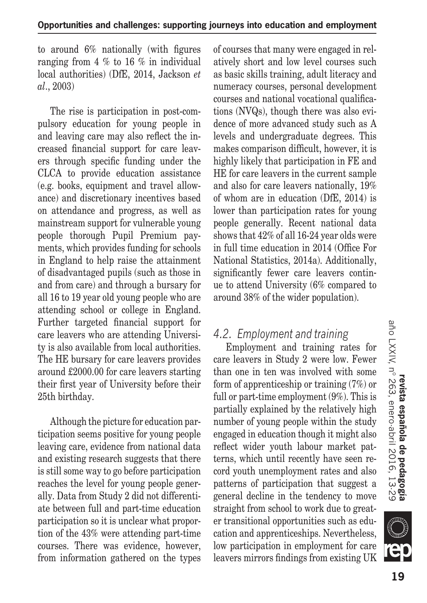to around 6% nationally (with figures ranging from 4 % to 16 % in individual local authorities) (DfE, 2014, Jackson *et al*., 2003)

The rise is participation in post-compulsory education for young people in and leaving care may also reflect the increased financial support for care leavers through specific funding under the CLCA to provide education assistance (e.g. books, equipment and travel allowance) and discretionary incentives based on attendance and progress, as well as mainstream support for vulnerable young people thorough Pupil Premium payments, which provides funding for schools in England to help raise the attainment of disadvantaged pupils (such as those in and from care) and through a bursary for all 16 to 19 year old young people who are attending school or college in England. Further targeted financial support for care leavers who are attending University is also available from local authorities. The HE bursary for care leavers provides around £2000.00 for care leavers starting their first year of University before their 25th birthday.

Although the picture for education participation seems positive for young people leaving care, evidence from national data and existing research suggests that there is still some way to go before participation reaches the level for young people generally. Data from Study 2 did not differentiate between full and part-time education participation so it is unclear what proportion of the 43% were attending part-time courses. There was evidence, however, from information gathered on the types of courses that many were engaged in relatively short and low level courses such as basic skills training, adult literacy and numeracy courses, personal development courses and national vocational qualifications (NVQs), though there was also evidence of more advanced study such as A levels and undergraduate degrees. This makes comparison difficult, however, it is highly likely that participation in FE and HE for care leavers in the current sample and also for care leavers nationally, 19% of whom are in education (DfE, 2014) is lower than participation rates for young people generally. Recent national data shows that 42% of all 16-24 year olds were in full time education in 2014 (Office For National Statistics, 2014a). Additionally, significantly fewer care leavers continue to attend University (6% compared to around 38% of the wider population).

## *4.2. Employment and training*

Employment and training rates for care leavers in Study 2 were low. Fewer than one in ten was involved with some form of apprenticeship or training (7%) or full or part-time employment (9%). This is partially explained by the relatively high number of young people within the study engaged in education though it might also reflect wider youth labour market patterns, which until recently have seen record youth unemployment rates and also patterns of participation that suggest a general decline in the tendency to move straight from school to work due to greater transitional opportunities such as education and apprenticeships. Nevertheless, low participation in employment for care leavers mirrors findings from existing UK

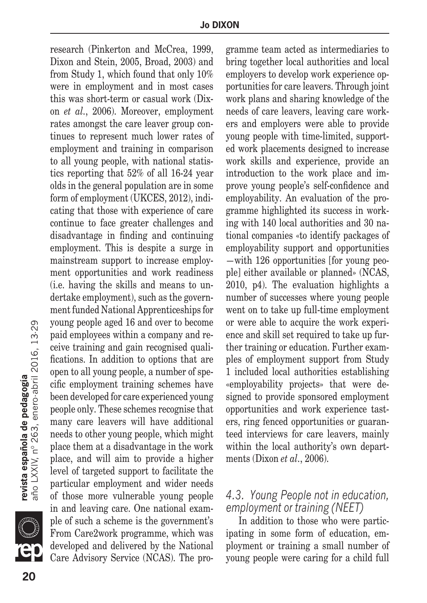research (Pinkerton and McCrea, 1999, Dixon and Stein, 2005, Broad, 2003) and from Study 1, which found that only 10% were in employment and in most cases this was short-term or casual work (Dixon *et al.*, 2006). Moreover, employment rates amongst the care leaver group continues to represent much lower rates of employment and training in comparison to all young people, with national statistics reporting that 52% of all 16-24 year olds in the general population are in some form of employment (UKCES, 2012), indicating that those with experience of care continue to face greater challenges and disadvantage in finding and continuing employment. This is despite a surge in mainstream support to increase employment opportunities and work readiness (i.e. having the skills and means to undertake employment), such as the government funded National Apprenticeships for young people aged 16 and over to become paid employees within a company and receive training and gain recognised qualifications. In addition to options that are open to all young people, a number of specific employment training schemes have been developed for care experienced young people only. These schemes recognise that many care leavers will have additional needs to other young people, which might place them at a disadvantage in the work place, and will aim to provide a higher level of targeted support to facilitate the particular employment and wider needs of those more vulnerable young people in and leaving care. One national example of such a scheme is the government's From Care2work programme, which was developed and delivered by the National Care Advisory Service (NCAS). The programme team acted as intermediaries to bring together local authorities and local employers to develop work experience opportunities for care leavers. Through joint work plans and sharing knowledge of the needs of care leavers, leaving care workers and employers were able to provide young people with time-limited, supported work placements designed to increase work skills and experience, provide an introduction to the work place and improve young people's self-confidence and employability. An evaluation of the programme highlighted its success in working with 140 local authorities and 30 national companies «to identify packages of employability support and opportunities —with 126 opportunities [for young people] either available or planned» (NCAS, 2010, p4). The evaluation highlights a number of successes where young people went on to take up full-time employment or were able to acquire the work experience and skill set required to take up further training or education. Further examples of employment support from Study 1 included local authorities establishing «employability projects» that were designed to provide sponsored employment opportunities and work experience tasters, ring fenced opportunities or guaranteed interviews for care leavers, mainly within the local authority's own departments (Dixon *et al.*, 2006).

#### *4.3. Young People not in education, employment or training (NEET)*

In addition to those who were participating in some form of education, employment or training a small number of young people were caring for a child full

**revista española de pedagogía**<br>año LXXIV, nº 263, enero-abril 2016, 13·29 **20**<br>**20 año LXXIV, nº 263, enero-abril 2016, 13-29** 

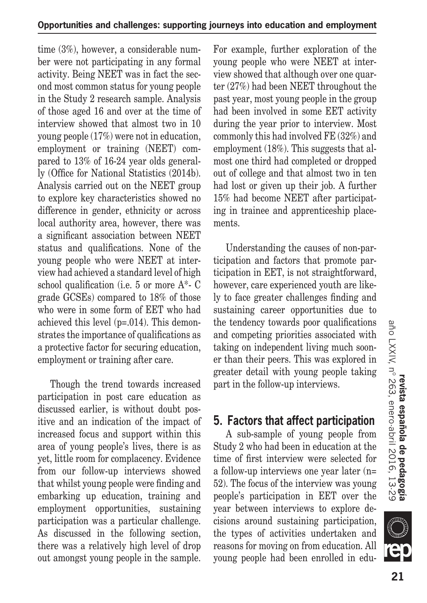time (3%), however, a considerable number were not participating in any formal activity. Being NEET was in fact the second most common status for young people in the Study 2 research sample. Analysis of those aged 16 and over at the time of interview showed that almost two in 10 young people (17%) were not in education, employment or training (NEET) compared to 13% of 16-24 year olds generally (Office for National Statistics (2014b). Analysis carried out on the NEET group to explore key characteristics showed no difference in gender, ethnicity or across local authority area, however, there was a significant association between NEET status and qualifications. None of the young people who were NEET at interview had achieved a standard level of high school qualification (i.e. 5 or more A\*- C grade GCSEs) compared to 18% of those who were in some form of EET who had achieved this level (p=.014). This demonstrates the importance of qualifications as a protective factor for securing education, employment or training after care.

Though the trend towards increased participation in post care education as discussed earlier, is without doubt positive and an indication of the impact of increased focus and support within this area of young people's lives, there is as yet, little room for complacency. Evidence from our follow-up interviews showed that whilst young people were finding and embarking up education, training and employment opportunities, sustaining participation was a particular challenge. As discussed in the following section, there was a relatively high level of drop out amongst young people in the sample. For example, further exploration of the young people who were NEET at interview showed that although over one quarter (27%) had been NEET throughout the past year, most young people in the group had been involved in some EET activity during the year prior to interview. Most commonly this had involved FE (32%) and employment (18%). This suggests that almost one third had completed or dropped out of college and that almost two in ten had lost or given up their job. A further 15% had become NEET after participating in trainee and apprenticeship placements.

Understanding the causes of non-participation and factors that promote participation in EET, is not straightforward, however, care experienced youth are likely to face greater challenges finding and sustaining career opportunities due to the tendency towards poor qualifications and competing priorities associated with taking on independent living much sooner than their peers. This was explored in greater detail with young people taking part in the follow-up interviews.

# **5. Factors that affect participation**

A sub-sample of young people from Study 2 who had been in education at the time of first interview were selected for a follow-up interviews one year later (n= 52). The focus of the interview was young people's participation in EET over the year between interviews to explore decisions around sustaining participation, the types of activities undertaken and reasons for moving on from education. All young people had been enrolled in edu-

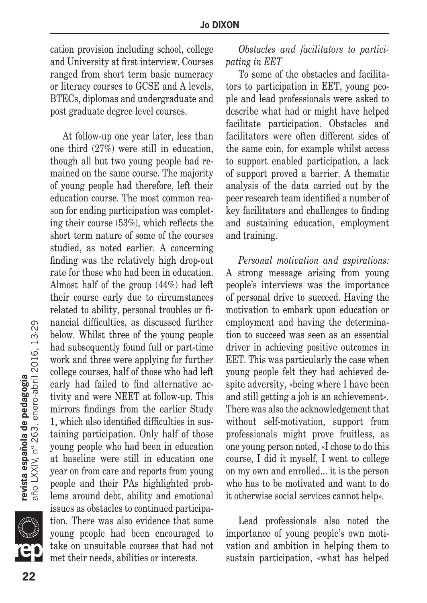cation provision including school, college and University at first interview. Courses ranged from short term basic numeracy or literacy courses to GCSE and A levels, BTECs, diplomas and undergraduate and post graduate degree level courses.

At follow-up one year later, less than one third (27%) were still in education, though all but two young people had remained on the same course. The majority of young people had therefore, left their education course. The most common reason for ending participation was completing their course (53%), which reflects the short term nature of some of the courses studied, as noted earlier. A concerning finding was the relatively high drop-out rate for those who had been in education. Almost half of the group (44%) had left their course early due to circumstances related to ability, personal troubles or financial difficulties, as discussed further below. Whilst three of the young people had subsequently found full or part-time work and three were applying for further college courses, half of those who had left early had failed to find alternative activity and were NEET at follow-up. This mirrors findings from the earlier Study 1, which also identified difficulties in sustaining participation. Only half of those young people who had been in education at baseline were still in education one year on from care and reports from young people and their PAs highlighted problems around debt, ability and emotional issues as obstacles to continued participation. There was also evidence that some young people had been encouraged to take on unsuitable courses that had not met their needs, abilities or interests.

*Obstacles and facilitators to participating in EET*

To some of the obstacles and facilitators to participation in EET, young people and lead professionals were asked to describe what had or might have helped facilitate participation. Obstacles and facilitators were often different sides of the same coin, for example whilst access to support enabled participation, a lack of support proved a barrier. A thematic analysis of the data carried out by the peer research team identified a number of key facilitators and challenges to finding and sustaining education, employment and training.

*Personal motivation and aspirations:*  A strong message arising from young people's interviews was the importance of personal drive to succeed. Having the motivation to embark upon education or employment and having the determination to succeed was seen as an essential driver in achieving positive outcomes in EET. This was particularly the case when young people felt they had achieved despite adversity, «being where I have been and still getting a job is an achievement*».*  There was also the acknowledgement that without self-motivation, support from professionals might prove fruitless, as one young person noted, «I chose to do this course, I did it myself, I went to college on my own and enrolled... it is the person who has to be motivated and want to do it otherwise social services cannot help»*.*

Lead professionals also noted the importance of young people's own motivation and ambition in helping them to sustain participation, «what has helped

**22**<br>**22 22 año LXXIV, nº 263, enero-abril 2016, 13-29** 22

**JII**Q

**revista española de pedagogía**<br>año LXXIV, nº 263, enero-abril 2016, 13·29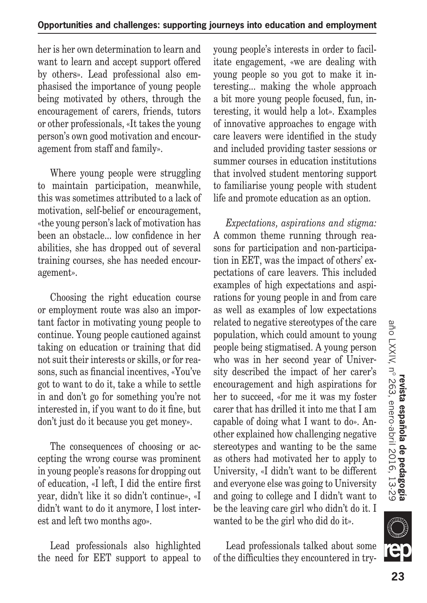her is her own determination to learn and want to learn and accept support offered by others». Lead professional also emphasised the importance of young people being motivated by others, through the encouragement of carers, friends, tutors or other professionals, «It takes the young person's own good motivation and encouragement from staff and family».

Where young people were struggling to maintain participation, meanwhile, this was sometimes attributed to a lack of motivation, self-belief or encouragement, «the young person's lack of motivation has been an obstacle... low confidence in her abilities, she has dropped out of several training courses, she has needed encouragement».

Choosing the right education course or employment route was also an important factor in motivating young people to continue. Young people cautioned against taking on education or training that did not suit their interests or skills, or for reasons, such as financial incentives, «You've got to want to do it, take a while to settle in and don't go for something you're not interested in, if you want to do it fine, but don't just do it because you get money».

The consequences of choosing or accepting the wrong course was prominent in young people's reasons for dropping out of education, «I left, I did the entire first year, didn't like it so didn't continue», «I didn't want to do it anymore, I lost interest and left two months ago».

Lead professionals also highlighted the need for EET support to appeal to young people's interests in order to facilitate engagement, «we are dealing with young people so you got to make it interesting... making the whole approach a bit more young people focused, fun, interesting, it would help a lot». Examples of innovative approaches to engage with care leavers were identified in the study and included providing taster sessions or summer courses in education institutions that involved student mentoring support to familiarise young people with student life and promote education as an option.

*Expectations, aspirations and stigma:*  A common theme running through reasons for participation and non-participation in EET, was the impact of others' expectations of care leavers. This included examples of high expectations and aspirations for young people in and from care as well as examples of low expectations related to negative stereotypes of the care population, which could amount to young people being stigmatised. A young person who was in her second year of University described the impact of her carer's encouragement and high aspirations for her to succeed, «for me it was my foster carer that has drilled it into me that I am capable of doing what I want to do». Another explained how challenging negative stereotypes and wanting to be the same as others had motivated her to apply to University, «I didn't want to be different and everyone else was going to University and going to college and I didn't want to be the leaving care girl who didn't do it. I wanted to be the girl who did do it».

Lead professionals talked about some of the difficulties they encountered in try-



**tur**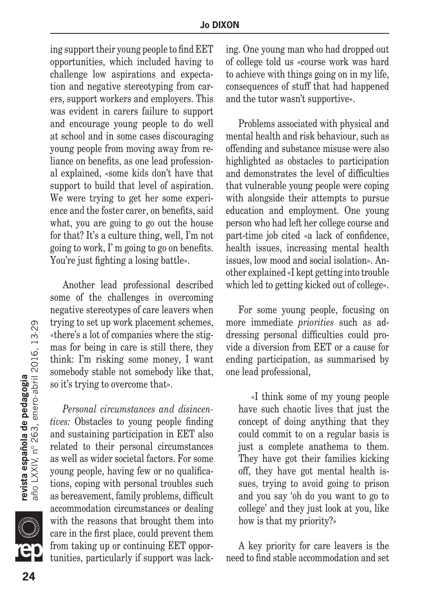ing support their young people to find EET opportunities, which included having to challenge low aspirations and expectation and negative stereotyping from carers, support workers and employers. This was evident in carers failure to support and encourage young people to do well at school and in some cases discouraging young people from moving away from reliance on benefits, as one lead professional explained, «some kids don't have that support to build that level of aspiration. We were trying to get her some experience and the foster carer, on benefits, said what, you are going to go out the house for that? It's a culture thing, well, I'm not going to work, I' m going to go on benefits. You're just fighting a losing battle».

Another lead professional described some of the challenges in overcoming negative stereotypes of care leavers when trying to set up work placement schemes, «there's a lot of companies where the stigmas for being in care is still there, they think: I'm risking some money, I want somebody stable not somebody like that, so it's trying to overcome that».

*Personal circumstances and disincentives:* Obstacles to young people finding and sustaining participation in EET also related to their personal circumstances as well as wider societal factors. For some young people, having few or no qualifications, coping with personal troubles such as bereavement, family problems, difficult accommodation circumstances or dealing with the reasons that brought them into care in the first place, could prevent them from taking up or continuing EET opportunities, particularly if support was lacking. One young man who had dropped out of college told us «course work was hard to achieve with things going on in my life, consequences of stuff that had happened and the tutor wasn't supportive».

Problems associated with physical and mental health and risk behaviour, such as offending and substance misuse were also highlighted as obstacles to participation and demonstrates the level of difficulties that vulnerable young people were coping with alongside their attempts to pursue education and employment. One young person who had left her college course and part-time job cited «a lack of confidence, health issues, increasing mental health issues, low mood and social isolation». Another explained «I kept getting into trouble which led to getting kicked out of college».

For some young people, focusing on more immediate *priorities* such as addressing personal difficulties could provide a diversion from EET or a cause for ending participation, as summarised by one lead professional,

«I think some of my young people have such chaotic lives that just the concept of doing anything that they could commit to on a regular basis is just a complete anathema to them. They have got their families kicking off, they have got mental health issues, trying to avoid going to prison and you say 'oh do you want to go to college' and they just look at you, like how is that my priority?»

A key priority for care leavers is the need to find stable accommodation and set

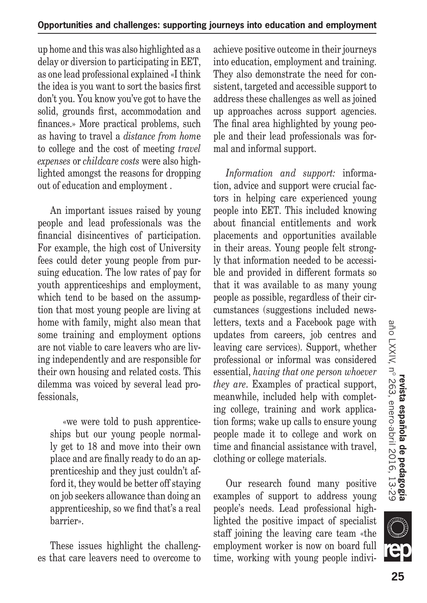up home and this was also highlighted as a delay or diversion to participating in EET, as one lead professional explained «I think the idea is you want to sort the basics first don't you. You know you've got to have the solid, grounds first, accommodation and finances.» More practical problems, such as having to travel a *distance from hom*e to college and the cost of meeting *travel expenses* or *childcare costs* were also highlighted amongst the reasons for dropping out of education and employment .

An important issues raised by young people and lead professionals was the financial disincentives of participation. For example, the high cost of University fees could deter young people from pursuing education. The low rates of pay for youth apprenticeships and employment, which tend to be based on the assumption that most young people are living at home with family, might also mean that some training and employment options are not viable to care leavers who are living independently and are responsible for their own housing and related costs. This dilemma was voiced by several lead professionals,

«we were told to push apprenticeships but our young people normally get to 18 and move into their own place and are finally ready to do an apprenticeship and they just couldn't afford it, they would be better off staying on job seekers allowance than doing an apprenticeship, so we find that's a real barrier».

These issues highlight the challenges that care leavers need to overcome to achieve positive outcome in their journeys into education, employment and training. They also demonstrate the need for consistent, targeted and accessible support to address these challenges as well as joined up approaches across support agencies. The final area highlighted by young people and their lead professionals was formal and informal support.

*Information and support:* information, advice and support were crucial factors in helping care experienced young people into EET. This included knowing about financial entitlements and work placements and opportunities available in their areas. Young people felt strongly that information needed to be accessible and provided in different formats so that it was available to as many young people as possible, regardless of their circumstances (suggestions included newsletters, texts and a Facebook page with updates from careers, job centres and leaving care services). Support, whether professional or informal was considered essential, *having that one person whoever they are*. Examples of practical support, meanwhile, included help with completing college, training and work application forms; wake up calls to ensure young people made it to college and work on time and financial assistance with travel, clothing or college materials.

Our research found many positive examples of support to address young people's needs. Lead professional highlighted the positive impact of specialist staff joining the leaving care team «the employment worker is now on board full time, working with young people indivi

**III**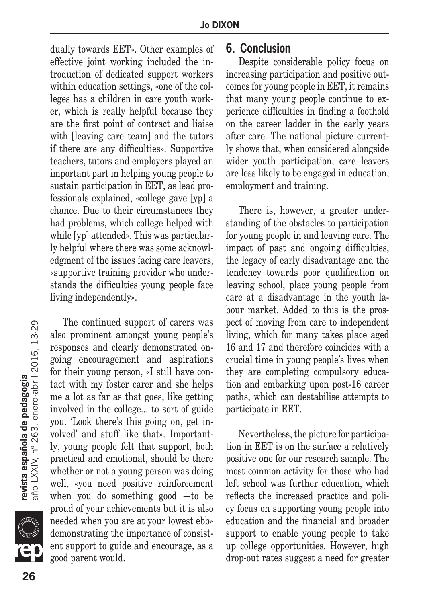dually towards EET». Other examples of effective joint working included the introduction of dedicated support workers within education settings, «one of the colleges has a children in care youth worker, which is really helpful because they are the first point of contract and liaise with [leaving care team] and the tutors if there are any difficulties». Supportive teachers, tutors and employers played an important part in helping young people to sustain participation in EET, as lead professionals explained, «college gave [yp] a chance. Due to their circumstances they had problems, which college helped with while [yp] attended». This was particularly helpful where there was some acknowledgment of the issues facing care leavers, «supportive training provider who understands the difficulties young people face living independently».

The continued support of carers was also prominent amongst young people's responses and clearly demonstrated ongoing encouragement and aspirations for their young person, «I still have contact with my foster carer and she helps me a lot as far as that goes, like getting involved in the college... to sort of guide you. 'Look there's this going on, get involved' and stuff like that». Importantly, *y*oung people felt that support, both practical and emotional, should be there whether or not a young person was doing well, «you need positive reinforcement when you do something good —to be proud of your achievements but it is also needed when you are at your lowest ebb» demonstrating the importance of consistent support to guide and encourage, as a good parent would.

#### **6. Conclusion**

Despite considerable policy focus on increasing participation and positive outcomes for young people in EET, it remains that many young people continue to experience difficulties in finding a foothold on the career ladder in the early years after care. The national picture currently shows that, when considered alongside wider youth participation, care leavers are less likely to be engaged in education, employment and training.

There is, however, a greater understanding of the obstacles to participation for young people in and leaving care. The impact of past and ongoing difficulties, the legacy of early disadvantage and the tendency towards poor qualification on leaving school, place young people from care at a disadvantage in the youth labour market. Added to this is the prospect of moving from care to independent living, which for many takes place aged 16 and 17 and therefore coincides with a crucial time in young people's lives when they are completing compulsory education and embarking upon post-16 career paths, which can destabilise attempts to participate in EET.

Nevertheless, the picture for participation in EET is on the surface a relatively positive one for our research sample. The most common activity for those who had left school was further education, which reflects the increased practice and policy focus on supporting young people into education and the financial and broader support to enable young people to take up college opportunities. However, high drop-out rates suggest a need for greater

**SILLE** 

**revista española de pedagogía**<br>año LXXIV, nº 263, enero-abril 2016, 13·29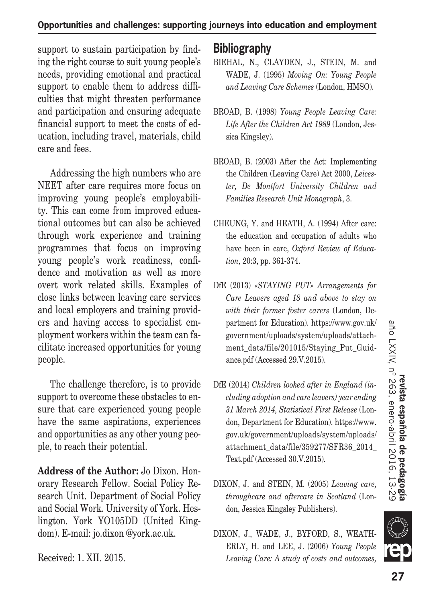support to sustain participation by finding the right course to suit young people's needs, providing emotional and practical support to enable them to address difficulties that might threaten performance and participation and ensuring adequate financial support to meet the costs of education, including travel, materials, child care and fees.

Addressing the high numbers who are NEET after care requires more focus on improving young people's employability. This can come from improved educational outcomes but can also be achieved through work experience and training programmes that focus on improving young people's work readiness, confidence and motivation as well as more overt work related skills. Examples of close links between leaving care services and local employers and training providers and having access to specialist employment workers within the team can facilitate increased opportunities for young people.

The challenge therefore, is to provide support to overcome these obstacles to ensure that care experienced young people have the same aspirations, experiences and opportunities as any other young people, to reach their potential.

**Address of the Author:** Jo Dixon. Honorary Research Fellow. Social Policy Research Unit. Department of Social Policy and Social Work. University of York. Heslington. York YO105DD (United Kingdom). E-mail: jo.dixon @york.ac.uk.

## **Bibliography**

- BIEHAL, N., CLAYDEN, J., STEIN, M. and WADE, J. (1995) *Moving On: Young People and Leaving Care Schemes* (London, HMSO).
- BROAD, B. (1998) *Young People Leaving Care: Life After the Children Act 1989* (London, Jessica Kingsley).
- BROAD, B. (2003) After the Act: Implementing the Children (Leaving Care) Act 2000, *Leicester, De Montfort University Children and Families Research Unit Monograph*, 3.
- CHEUNG, Y. and HEATH, A. (1994) After care: the education and occupation of adults who have been in care, *Oxford Review of Education,* 20:3, pp. 361-374.
- DfE (2013) *«STAYING PUT» Arrangements for Care Leavers aged 18 and above to stay on with their former foster carers* (London, Department for Education). https://www.gov.uk/ government/uploads/system/uploads/attachment data/file/201015/Staying Put Guidance.pdf (Accessed 29.V.2015).
- DfE (2014) *Children looked after in England (including adoption and care leavers) year ending 31 March 2014, Statistical First Release* (London, Department for Education). https://www. gov.uk/government/uploads/system/uploads/ attachment\_data/file/359277/SFR36\_2014\_ Text.pdf (Accessed 30.V.2015).
- DIXON, J. and STEIN, M. (2005) *Leaving care, throughcare and aftercare in Scotland* (London, Jessica Kingsley Publishers).
- DIXON, J., WADE, J., BYFORD, S., WEATH-ERLY, H. and LEE, J. (2006) *Young People Leaving Care: A study of costs and outcomes,*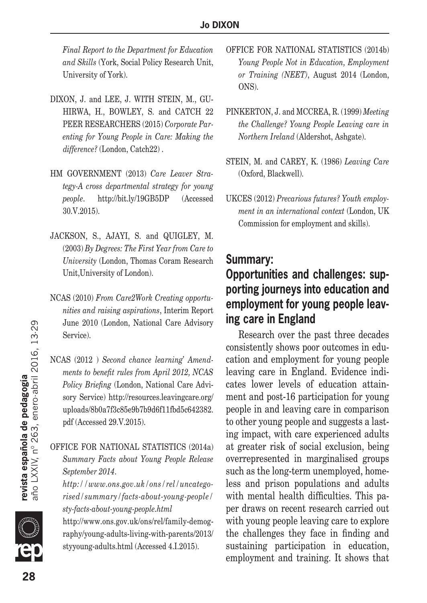*Final Report to the Department for Education and Skills* (York, Social Policy Research Unit, University of York).

- DIXON, J. and LEE, J. WITH STEIN, M., GU-HIRWA, H., BOWLEY, S. and CATCH 22 PEER RESEARCHERS (2015) *Corporate Parenting for Young People in Care: Making the difference?* (London, Catch22) .
- HM GOVERNMENT (2013) *Care Leaver Strategy-A cross departmental strategy for young people*. http://bit.ly/19GB5DP (Accessed 30.V.2015).
- JACKSON, S., AJAYI, S. and QUIGLEY, M. (2003) *By Degrees: The First Year from Care to University* (London, Thomas Coram Research Unit,University of London).
- NCAS (2010) *From Care2Work Creating opportunities and raising aspirations*, Interim Report June 2010 (London, National Care Advisory Service).
- NCAS (2012 ) *Second chance learning' Amendments to benefit rules from April 2012, NCAS Policy Briefing* (London, National Care Advisory Service) http://resources.leavingcare.org/ uploads/8b0a7f3c85e9b7b9d6f11fbd5c642382. pdf (Accessed 29.V.2015).

OFFICE FOR NATIONAL STATISTICS (2014a) *Summary Facts about Young People Release September 2014*.

*http://www.ons.gov.uk/ons/rel/uncategorised/summary/facts-about-young-people/ sty-facts-about-young-people.html*

http://www.ons.gov.uk/ons/rel/family-demography/young-adults-living-with-parents/2013/ styyoung-adults.html (Accessed 4.I.2015).

- OFFICE FOR NATIONAL STATISTICS (2014b) *Young People Not in Education, Employment or Training (NEET)*, August 2014 (London, ONS).
- PINKERTON, J. and MCCREA, R. (1999) *Meeting the Challenge? Young People Leaving care in Northern Ireland* (Aldershot, Ashgate).
- STEIN, M. and CAREY, K. (1986) *Leaving Care* (Oxford, Blackwell).
- UKCES (2012) *Precarious futures? Youth employment in an international context* (London, UK Commission for employment and skills).

#### **Summary:**

# **Opportunities and challenges: supporting journeys into education and employment for young people leaving care in England**

Research over the past three decades consistently shows poor outcomes in education and employment for young people leaving care in England. Evidence indicates lower levels of education attainment and post-16 participation for young people in and leaving care in comparison to other young people and suggests a lasting impact, with care experienced adults at greater risk of social exclusion, being overrepresented in marginalised groups such as the long-term unemployed, homeless and prison populations and adults with mental health difficulties. This paper draws on recent research carried out with young people leaving care to explore the challenges they face in finding and sustaining participation in education, employment and training. It shows that